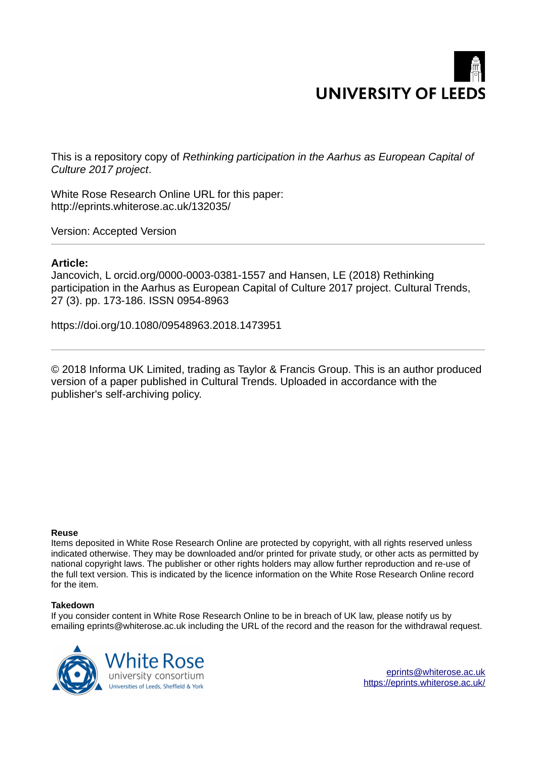

This is a repository copy of *Rethinking participation in the Aarhus as European Capital of Culture 2017 project*.

White Rose Research Online URL for this paper: http://eprints.whiterose.ac.uk/132035/

Version: Accepted Version

# **Article:**

Jancovich, L orcid.org/0000-0003-0381-1557 and Hansen, LE (2018) Rethinking participation in the Aarhus as European Capital of Culture 2017 project. Cultural Trends, 27 (3). pp. 173-186. ISSN 0954-8963

https://doi.org/10.1080/09548963.2018.1473951

© 2018 Informa UK Limited, trading as Taylor & Francis Group. This is an author produced version of a paper published in Cultural Trends. Uploaded in accordance with the publisher's self-archiving policy.

#### **Reuse**

Items deposited in White Rose Research Online are protected by copyright, with all rights reserved unless indicated otherwise. They may be downloaded and/or printed for private study, or other acts as permitted by national copyright laws. The publisher or other rights holders may allow further reproduction and re-use of the full text version. This is indicated by the licence information on the White Rose Research Online record for the item.

#### **Takedown**

If you consider content in White Rose Research Online to be in breach of UK law, please notify us by emailing eprints@whiterose.ac.uk including the URL of the record and the reason for the withdrawal request.



[eprints@whiterose.ac.uk](mailto:eprints@whiterose.ac.uk) <https://eprints.whiterose.ac.uk/>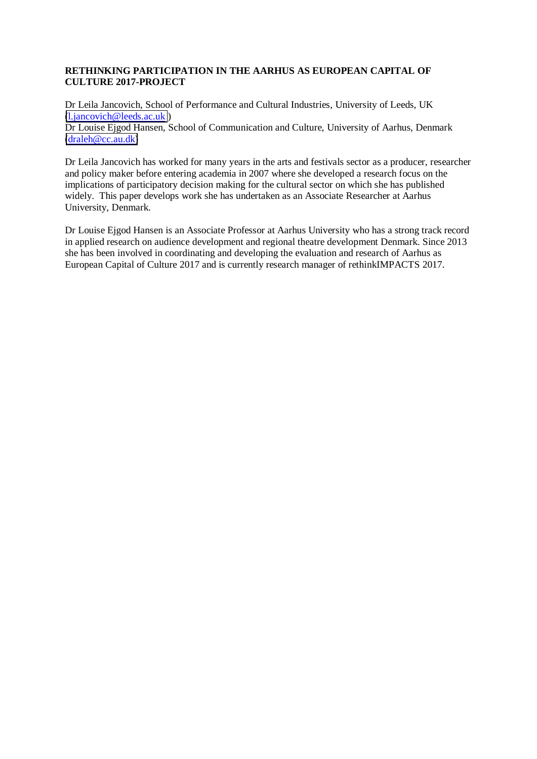## **RETHINKING PARTICIPATION IN THE AARHUS AS EUROPEAN CAPITAL OF CULTURE 2017-PROJECT**

Dr Leila Jancovich, School of Performance and Cultural Industries, University of Leeds, UK [\(l.jancovich@leeds.ac.uk](mailto:l.jancovich@leeds.ac.uk) )

Dr Louise Ejgod Hansen, School of Communication and Culture, University of Aarhus, Denmark [\(draleh@cc.au.dk\)](mailto:draleh@cc.au.dk)

Dr Leila Jancovich has worked for many years in the arts and festivals sector as a producer, researcher and policy maker before entering academia in 2007 where she developed a research focus on the implications of participatory decision making for the cultural sector on which she has published widely. This paper develops work she has undertaken as an Associate Researcher at Aarhus University, Denmark.

Dr Louise Ejgod Hansen is an Associate Professor at Aarhus University who has a strong track record in applied research on audience development and regional theatre development Denmark. Since 2013 she has been involved in coordinating and developing the evaluation and research of Aarhus as European Capital of Culture 2017 and is currently research manager of rethinkIMPACTS 2017.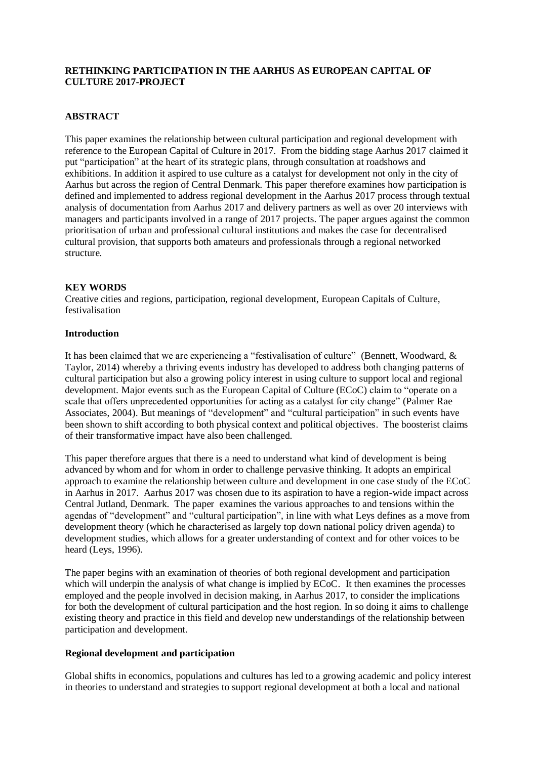## **RETHINKING PARTICIPATION IN THE AARHUS AS EUROPEAN CAPITAL OF CULTURE 2017-PROJECT**

# **ABSTRACT**

This paper examines the relationship between cultural participation and regional development with reference to the European Capital of Culture in 2017. From the bidding stage Aarhus 2017 claimed it put "participation" at the heart of its strategic plans, through consultation at roadshows and exhibitions. In addition it aspired to use culture as a catalyst for development not only in the city of Aarhus but across the region of Central Denmark. This paper therefore examines how participation is defined and implemented to address regional development in the Aarhus 2017 process through textual analysis of documentation from Aarhus 2017 and delivery partners as well as over 20 interviews with managers and participants involved in a range of 2017 projects. The paper argues against the common prioritisation of urban and professional cultural institutions and makes the case for decentralised cultural provision, that supports both amateurs and professionals through a regional networked structure.

# **KEY WORDS**

Creative cities and regions, participation, regional development, European Capitals of Culture, festivalisation

## **Introduction**

It has been claimed that we are experiencing a "festivalisation of culture" (Bennett, Woodward, & Taylor, 2014) whereby a thriving events industry has developed to address both changing patterns of cultural participation but also a growing policy interest in using culture to support local and regional development. Major events such as the European Capital of Culture (ECoC) claim to "operate on a scale that offers unprecedented opportunities for acting as a catalyst for city change" (Palmer Rae Associates, 2004). But meanings of "development" and "cultural participation" in such events have been shown to shift according to both physical context and political objectives. The boosterist claims of their transformative impact have also been challenged.

This paper therefore argues that there is a need to understand what kind of development is being advanced by whom and for whom in order to challenge pervasive thinking. It adopts an empirical approach to examine the relationship between culture and development in one case study of the ECoC in Aarhus in 2017. Aarhus 2017 was chosen due to its aspiration to have a region-wide impact across Central Jutland, Denmark. The paper examines the various approaches to and tensions within the agendas of "development" and "cultural participation", in line with what Leys defines as a move from development theory (which he characterised as largely top down national policy driven agenda) to development studies, which allows for a greater understanding of context and for other voices to be heard (Leys, 1996).

The paper begins with an examination of theories of both regional development and participation which will underpin the analysis of what change is implied by ECoC. It then examines the processes employed and the people involved in decision making, in Aarhus 2017, to consider the implications for both the development of cultural participation and the host region. In so doing it aims to challenge existing theory and practice in this field and develop new understandings of the relationship between participation and development.

## **Regional development and participation**

Global shifts in economics, populations and cultures has led to a growing academic and policy interest in theories to understand and strategies to support regional development at both a local and national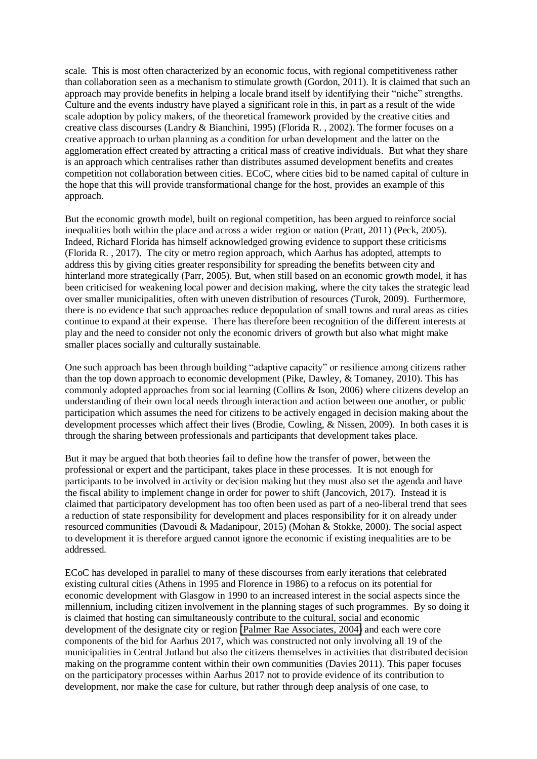scale. This is most often characterized by an economic focus, with regional competitiveness rather than collaboration seen as a mechanism to stimulate growth (Gordon, 2011). It is claimed that such an approach may provide benefits in helping a locale brand itself by identifying their "niche" strengths. Culture and the events industry have played a significant role in this, in part as a result of the wide scale adoption by policy makers, of the theoretical framework provided by the creative cities and creative class discourses (Landry & Bianchini, 1995) (Florida R. , 2002). The former focuses on a creative approach to urban planning as a condition for urban development and the latter on the agglomeration effect created by attracting a critical mass of creative individuals. But what they share is an approach which centralises rather than distributes assumed development benefits and creates competition not collaboration between cities. ECoC, where cities bid to be named capital of culture in the hope that this will provide transformational change for the host, provides an example of this approach.

But the economic growth model, built on regional competition, has been argued to reinforce social inequalities both within the place and across a wider region or nation (Pratt, 2011) (Peck, 2005). Indeed, Richard Florida has himself acknowledged growing evidence to support these criticisms (Florida R. , 2017). The city or metro region approach, which Aarhus has adopted, attempts to address this by giving cities greater responsibility for spreading the benefits between city and hinterland more strategically (Parr, 2005). But, when still based on an economic growth model, it has been criticised for weakening local power and decision making, where the city takes the strategic lead over smaller municipalities, often with uneven distribution of resources (Turok, 2009). Furthermore, there is no evidence that such approaches reduce depopulation of small towns and rural areas as cities continue to expand at their expense. There has therefore been recognition of the different interests at play and the need to consider not only the economic drivers of growth but also what might make smaller places socially and culturally sustainable.

One such approach has been through building "adaptive capacity" or resilience among citizens rather than the top down approach to economic development (Pike, Dawley, & Tomaney, 2010). This has commonly adopted approaches from social learning (Collins & Ison, 2006) where citizens develop an understanding of their own local needs through interaction and action between one another, or public participation which assumes the need for citizens to be actively engaged in decision making about the development processes which affect their lives (Brodie, Cowling, & Nissen, 2009). In both cases it is through the sharing between professionals and participants that development takes place.

But it may be argued that both theories fail to define how the transfer of power, between the professional or expert and the participant, takes place in these processes. It is not enough for participants to be involved in activity or decision making but they must also set the agenda and have the fiscal ability to implement change in order for power to shift (Jancovich, 2017). Instead it is claimed that participatory development has too often been used as part of a neo-liberal trend that sees a reduction of state responsibility for development and places responsibility for it on already under resourced communities (Davoudi & Madanipour, 2015) (Mohan & Stokke, 2000). The social aspect to development it is therefore argued cannot ignore the economic if existing inequalities are to be addressed.

ECoC has developed in parallel to many of these discourses from early iterations that celebrated existing cultural cities (Athens in 1995 and Florence in 1986) to a refocus on its potential for economic development with Glasgow in 1990 to an increased interest in the social aspects since the millennium, including citizen involvement in the planning stages of such programmes. By so doing it is claimed that hosting can simultaneously contribute to the cultural, social and economic development of the designate city or region [\(Palmer Rae Associates, 2004\)](https://docs.google.com/document/d/1X7YMLae-Vx_-AuKD3rECrY2DV581kpQOGM41I2EVvJo/edit#heading=h.44sinio) and each were core components of the bid for Aarhus 2017, which was constructed not only involving all 19 of the municipalities in Central Jutland but also the citizens themselves in activities that distributed decision making on the programme content within their own communities (Davies 2011). This paper focuses on the participatory processes within Aarhus 2017 not to provide evidence of its contribution to development, nor make the case for culture, but rather through deep analysis of one case, to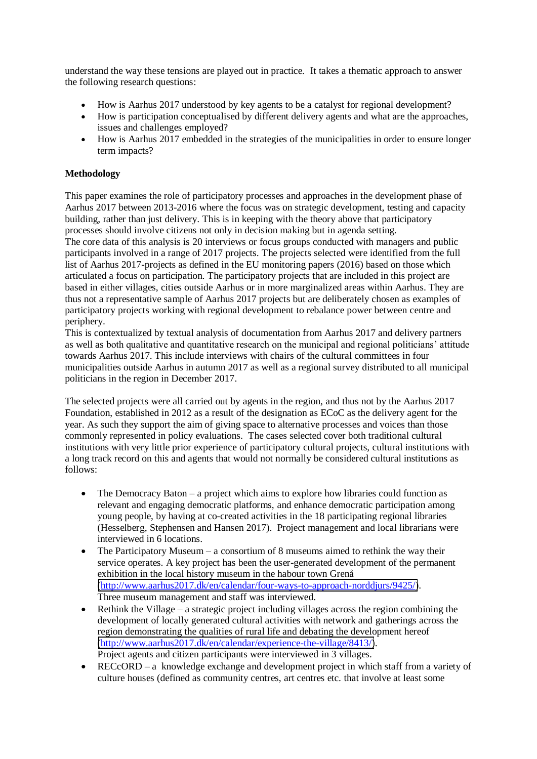understand the way these tensions are played out in practice. It takes a thematic approach to answer the following research questions:

- How is Aarhus 2017 understood by key agents to be a catalyst for regional development?
- How is participation conceptualised by different delivery agents and what are the approaches, issues and challenges employed?
- How is Aarhus 2017 embedded in the strategies of the municipalities in order to ensure longer term impacts?

# **Methodology**

This paper examines the role of participatory processes and approaches in the development phase of Aarhus 2017 between 2013-2016 where the focus was on strategic development, testing and capacity building, rather than just delivery. This is in keeping with the theory above that participatory processes should involve citizens not only in decision making but in agenda setting. The core data of this analysis is 20 interviews or focus groups conducted with managers and public participants involved in a range of 2017 projects. The projects selected were identified from the full list of Aarhus 2017-projects as defined in the EU monitoring papers (2016) based on those which articulated a focus on participation. The participatory projects that are included in this project are based in either villages, cities outside Aarhus or in more marginalized areas within Aarhus. They are thus not a representative sample of Aarhus 2017 projects but are deliberately chosen as examples of participatory projects working with regional development to rebalance power between centre and periphery.

This is contextualized by textual analysis of documentation from Aarhus 2017 and delivery partners as well as both qualitative and quantitative research on the municipal and regional politicians' attitude towards Aarhus 2017. This include interviews with chairs of the cultural committees in four municipalities outside Aarhus in autumn 2017 as well as a regional survey distributed to all municipal politicians in the region in December 2017.

The selected projects were all carried out by agents in the region, and thus not by the Aarhus 2017 Foundation, established in 2012 as a result of the designation as ECoC as the delivery agent for the year. As such they support the aim of giving space to alternative processes and voices than those commonly represented in policy evaluations. The cases selected cover both traditional cultural institutions with very little prior experience of participatory cultural projects, cultural institutions with a long track record on this and agents that would not normally be considered cultural institutions as follows:

- $\bullet$  The Democracy Baton a project which aims to explore how libraries could function as relevant and engaging democratic platforms, and enhance democratic participation among young people, by having at co-created activities in the 18 participating regional libraries (Hesselberg, Stephensen and Hansen 2017). Project management and local librarians were interviewed in 6 locations.
- The Participatory Museum a consortium of 8 museums aimed to rethink the way their service operates. A key project has been the user-generated development of the permanent exhibition in the local history museum in the habour town Grenå [\(http://www.aarhus2017.dk/en/calendar/four-ways-to-approach-norddjurs/9425/\)](http://www.aarhus2017.dk/en/calendar/four-ways-to-approach-norddjurs/9425/). Three museum management and staff was interviewed.
- Rethink the Village a strategic project including villages across the region combining the development of locally generated cultural activities with network and gatherings across the region demonstrating the qualities of rural life and debating the development hereof [\(http://www.aarhus2017.dk/en/calendar/experience-the-village/8413/\)](http://www.aarhus2017.dk/en/calendar/experience-the-village/8413/). Project agents and citizen participants were interviewed in 3 villages.
- RECcORD a knowledge exchange and development project in which staff from a variety of culture houses (defined as community centres, art centres etc. that involve at least some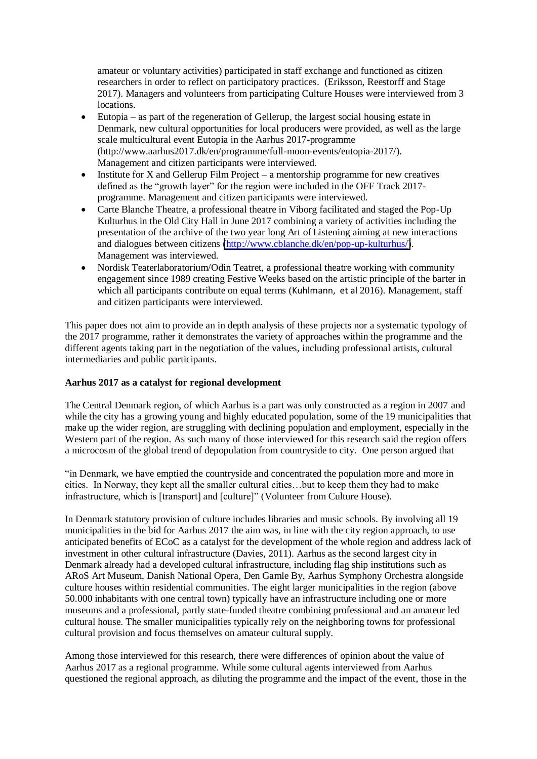amateur or voluntary activities) participated in staff exchange and functioned as citizen researchers in order to reflect on participatory practices. (Eriksson, Reestorff and Stage 2017). Managers and volunteers from participating Culture Houses were interviewed from 3 locations.

- Eutopia as part of the regeneration of Gellerup, the largest social housing estate in Denmark, new cultural opportunities for local producers were provided, as well as the large scale multicultural event Eutopia in the Aarhus 2017-programme (http://www.aarhus2017.dk/en/programme/full-moon-events/eutopia-2017/). Management and citizen participants were interviewed.
- $\bullet$  Institute for X and Gellerup Film Project a mentorship programme for new creatives defined as the "growth layer" for the region were included in the OFF Track 2017 programme. Management and citizen participants were interviewed.
- Carte Blanche Theatre, a professional theatre in Viborg facilitated and staged the Pop-Up Kulturhus in the Old City Hall in June 2017 combining a variety of activities including the presentation of the archive of the two year long Art of Listening aiming at new interactions and dialogues between citizens [\(http://www.cblanche.dk/en/pop-up-kulturhus/\)](http://www.cblanche.dk/en/pop-up-kulturhus/). Management was interviewed.
- Nordisk Teaterlaboratorium/Odin Teatret, a professional theatre working with community engagement since 1989 creating Festive Weeks based on the artistic principle of the barter in which all participants contribute on equal terms (Kuhlmann, et al 2016). Management, staff and citizen participants were interviewed.

This paper does not aim to provide an in depth analysis of these projects nor a systematic typology of the 2017 programme, rather it demonstrates the variety of approaches within the programme and the different agents taking part in the negotiation of the values, including professional artists, cultural intermediaries and public participants.

# **Aarhus 2017 as a catalyst for regional development**

The Central Denmark region, of which Aarhus is a part was only constructed as a region in 2007 and while the city has a growing young and highly educated population, some of the 19 municipalities that make up the wider region, are struggling with declining population and employment, especially in the Western part of the region. As such many of those interviewed for this research said the region offers a microcosm of the global trend of depopulation from countryside to city. One person argued that

"in Denmark, we have emptied the countryside and concentrated the population more and more in cities. In Norway, they kept all the smaller cultural cities…but to keep them they had to make infrastructure, which is [transport] and [culture]" (Volunteer from Culture House).

In Denmark statutory provision of culture includes libraries and music schools. By involving all 19 municipalities in the bid for Aarhus 2017 the aim was, in line with the city region approach, to use anticipated benefits of ECoC as a catalyst for the development of the whole region and address lack of investment in other cultural infrastructure (Davies, 2011). Aarhus as the second largest city in Denmark already had a developed cultural infrastructure, including flag ship institutions such as ARoS Art Museum, Danish National Opera, Den Gamle By, Aarhus Symphony Orchestra alongside culture houses within residential communities. The eight larger municipalities in the region (above 50.000 inhabitants with one central town) typically have an infrastructure including one or more museums and a professional, partly state-funded theatre combining professional and an amateur led cultural house. The smaller municipalities typically rely on the neighboring towns for professional cultural provision and focus themselves on amateur cultural supply.

Among those interviewed for this research, there were differences of opinion about the value of Aarhus 2017 as a regional programme. While some cultural agents interviewed from Aarhus questioned the regional approach, as diluting the programme and the impact of the event, those in the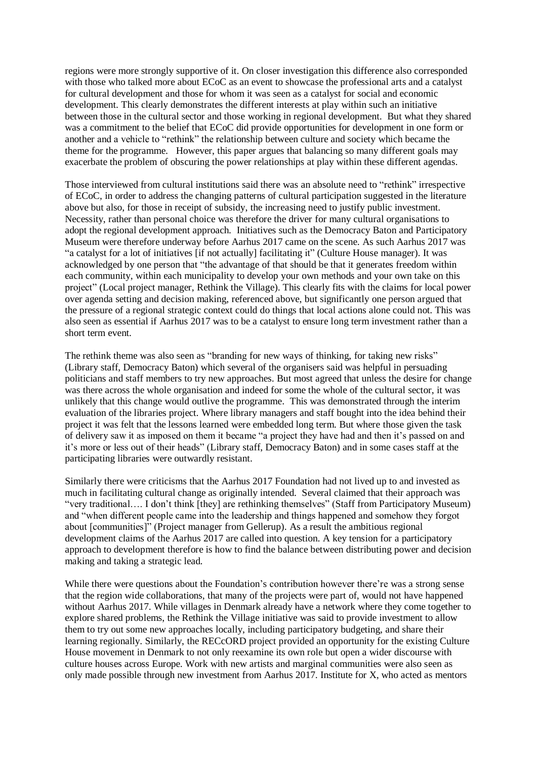regions were more strongly supportive of it. On closer investigation this difference also corresponded with those who talked more about ECoC as an event to showcase the professional arts and a catalyst for cultural development and those for whom it was seen as a catalyst for social and economic development. This clearly demonstrates the different interests at play within such an initiative between those in the cultural sector and those working in regional development. But what they shared was a commitment to the belief that ECoC did provide opportunities for development in one form or another and a vehicle to "rethink" the relationship between culture and society which became the theme for the programme. However, this paper argues that balancing so many different goals may exacerbate the problem of obscuring the power relationships at play within these different agendas.

Those interviewed from cultural institutions said there was an absolute need to "rethink" irrespective of ECoC, in order to address the changing patterns of cultural participation suggested in the literature above but also, for those in receipt of subsidy, the increasing need to justify public investment. Necessity, rather than personal choice was therefore the driver for many cultural organisations to adopt the regional development approach. Initiatives such as the Democracy Baton and Participatory Museum were therefore underway before Aarhus 2017 came on the scene. As such Aarhus 2017 was "a catalyst for a lot of initiatives [if not actually] facilitating it" (Culture House manager). It was acknowledged by one person that "the advantage of that should be that it generates freedom within each community, within each municipality to develop your own methods and your own take on this project" (Local project manager, Rethink the Village). This clearly fits with the claims for local power over agenda setting and decision making, referenced above, but significantly one person argued that the pressure of a regional strategic context could do things that local actions alone could not. This was also seen as essential if Aarhus 2017 was to be a catalyst to ensure long term investment rather than a short term event.

The rethink theme was also seen as "branding for new ways of thinking, for taking new risks" (Library staff, Democracy Baton) which several of the organisers said was helpful in persuading politicians and staff members to try new approaches. But most agreed that unless the desire for change was there across the whole organisation and indeed for some the whole of the cultural sector, it was unlikely that this change would outlive the programme. This was demonstrated through the interim evaluation of the libraries project. Where library managers and staff bought into the idea behind their project it was felt that the lessons learned were embedded long term. But where those given the task of delivery saw it as imposed on them it became "a project they have had and then it's passed on and it's more or less out of their heads" (Library staff, Democracy Baton) and in some cases staff at the participating libraries were outwardly resistant.

Similarly there were criticisms that the Aarhus 2017 Foundation had not lived up to and invested as much in facilitating cultural change as originally intended. Several claimed that their approach was "very traditional…. I don't think [they] are rethinking themselves" (Staff from Participatory Museum) and "when different people came into the leadership and things happened and somehow they forgot about [communities]" (Project manager from Gellerup). As a result the ambitious regional development claims of the Aarhus 2017 are called into question. A key tension for a participatory approach to development therefore is how to find the balance between distributing power and decision making and taking a strategic lead.

While there were questions about the Foundation's contribution however there're was a strong sense that the region wide collaborations, that many of the projects were part of, would not have happened without Aarhus 2017. While villages in Denmark already have a network where they come together to explore shared problems, the Rethink the Village initiative was said to provide investment to allow them to try out some new approaches locally, including participatory budgeting, and share their learning regionally. Similarly, the RECcORD project provided an opportunity for the existing Culture House movement in Denmark to not only reexamine its own role but open a wider discourse with culture houses across Europe. Work with new artists and marginal communities were also seen as only made possible through new investment from Aarhus 2017. Institute for X, who acted as mentors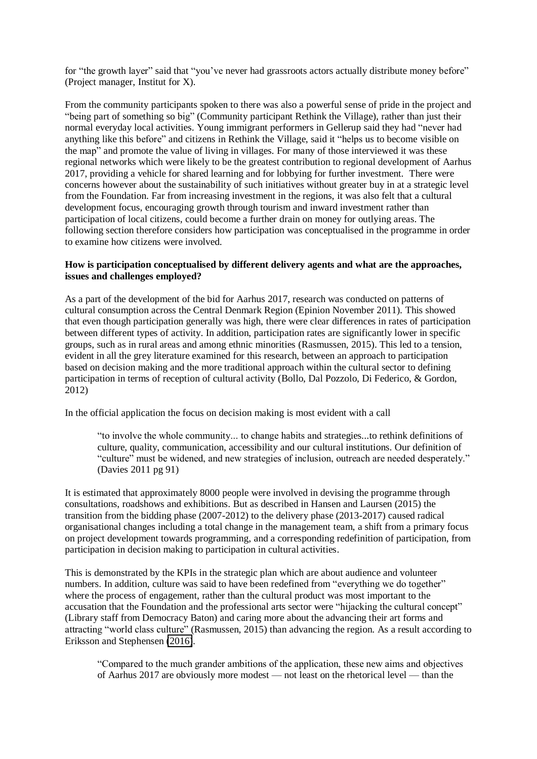for "the growth layer" said that "you've never had grassroots actors actually distribute money before" (Project manager, Institut for X).

From the community participants spoken to there was also a powerful sense of pride in the project and "being part of something so big" (Community participant Rethink the Village), rather than just their normal everyday local activities. Young immigrant performers in Gellerup said they had "never had anything like this before" and citizens in Rethink the Village, said it "helps us to become visible on the map" and promote the value of living in villages. For many of those interviewed it was these regional networks which were likely to be the greatest contribution to regional development of Aarhus 2017, providing a vehicle for shared learning and for lobbying for further investment. There were concerns however about the sustainability of such initiatives without greater buy in at a strategic level from the Foundation. Far from increasing investment in the regions, it was also felt that a cultural development focus, encouraging growth through tourism and inward investment rather than participation of local citizens, could become a further drain on money for outlying areas. The following section therefore considers how participation was conceptualised in the programme in order to examine how citizens were involved.

#### **How is participation conceptualised by different delivery agents and what are the approaches, issues and challenges employed?**

As a part of the development of the bid for Aarhus 2017, research was conducted on patterns of cultural consumption across the Central Denmark Region (Epinion November 2011). This showed that even though participation generally was high, there were clear differences in rates of participation between different types of activity. In addition, participation rates are significantly lower in specific groups, such as in rural areas and among ethnic minorities (Rasmussen, 2015). This led to a tension, evident in all the grey literature examined for this research, between an approach to participation based on decision making and the more traditional approach within the cultural sector to defining participation in terms of reception of cultural activity (Bollo, Dal Pozzolo, Di Federico, & Gordon, 2012)

In the official application the focus on decision making is most evident with a call

"to involve the whole community... to change habits and strategies...to rethink definitions of culture, quality, communication, accessibility and our cultural institutions. Our definition of "culture" must be widened, and new strategies of inclusion, outreach are needed desperately." (Davies 2011 pg 91)

It is estimated that approximately 8000 people were involved in devising the programme through consultations, roadshows and exhibitions. But as described in Hansen and Laursen (2015) the transition from the bidding phase (2007-2012) to the delivery phase (2013-2017) caused radical organisational changes including a total change in the management team, a shift from a primary focus on project development towards programming, and a corresponding redefinition of participation, from participation in decision making to participation in cultural activities.

This is demonstrated by the KPIs in the strategic plan which are about audience and volunteer numbers. In addition, culture was said to have been redefined from "everything we do together" where the process of engagement, rather than the cultural product was most important to the accusation that the Foundation and the professional arts sector were "hijacking the cultural concept" (Library staff from Democracy Baton) and caring more about the advancing their art forms and attracting "world class culture" (Rasmussen, 2015) than advancing the region. As a result according to Eriksson and Stephensen [\(2016\)](https://docs.google.com/document/d/1X7YMLae-Vx_-AuKD3rECrY2DV581kpQOGM41I2EVvJo/edit#heading=h.4d34og8).

"Compared to the much grander ambitions of the application, these new aims and objectives of Aarhus 2017 are obviously more modest — not least on the rhetorical level — than the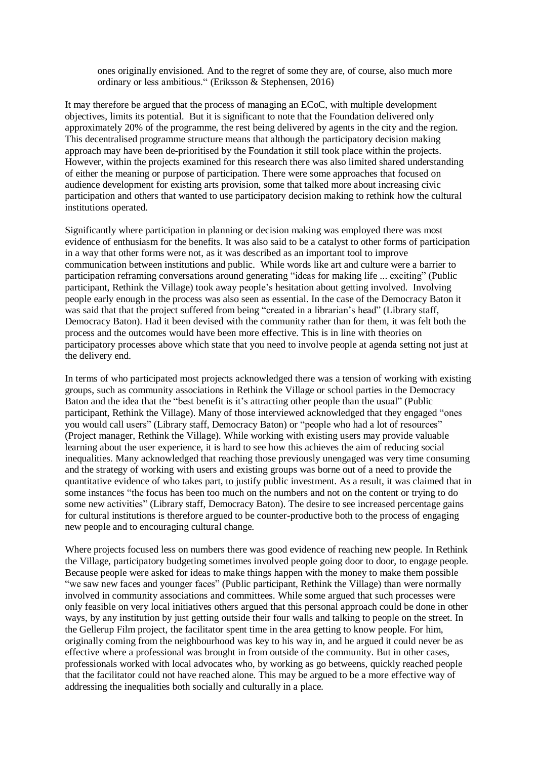ones originally envisioned. And to the regret of some they are, of course, also much more ordinary or less ambitious." (Eriksson & Stephensen, 2016)

It may therefore be argued that the process of managing an ECoC, with multiple development objectives, limits its potential. But it is significant to note that the Foundation delivered only approximately 20% of the programme, the rest being delivered by agents in the city and the region. This decentralised programme structure means that although the participatory decision making approach may have been de-prioritised by the Foundation it still took place within the projects. However, within the projects examined for this research there was also limited shared understanding of either the meaning or purpose of participation. There were some approaches that focused on audience development for existing arts provision, some that talked more about increasing civic participation and others that wanted to use participatory decision making to rethink how the cultural institutions operated.

Significantly where participation in planning or decision making was employed there was most evidence of enthusiasm for the benefits. It was also said to be a catalyst to other forms of participation in a way that other forms were not, as it was described as an important tool to improve communication between institutions and public. While words like art and culture were a barrier to participation reframing conversations around generating "ideas for making life ... exciting" (Public participant, Rethink the Village) took away people's hesitation about getting involved. Involving people early enough in the process was also seen as essential. In the case of the Democracy Baton it was said that that the project suffered from being "created in a librarian's head" (Library staff, Democracy Baton). Had it been devised with the community rather than for them, it was felt both the process and the outcomes would have been more effective. This is in line with theories on participatory processes above which state that you need to involve people at agenda setting not just at the delivery end.

In terms of who participated most projects acknowledged there was a tension of working with existing groups, such as community associations in Rethink the Village or school parties in the Democracy Baton and the idea that the "best benefit is it's attracting other people than the usual" (Public participant, Rethink the Village). Many of those interviewed acknowledged that they engaged "ones you would call users" (Library staff, Democracy Baton) or "people who had a lot of resources" (Project manager, Rethink the Village). While working with existing users may provide valuable learning about the user experience, it is hard to see how this achieves the aim of reducing social inequalities. Many acknowledged that reaching those previously unengaged was very time consuming and the strategy of working with users and existing groups was borne out of a need to provide the quantitative evidence of who takes part, to justify public investment. As a result, it was claimed that in some instances "the focus has been too much on the numbers and not on the content or trying to do some new activities" (Library staff, Democracy Baton). The desire to see increased percentage gains for cultural institutions is therefore argued to be counter-productive both to the process of engaging new people and to encouraging cultural change.

Where projects focused less on numbers there was good evidence of reaching new people. In Rethink the Village, participatory budgeting sometimes involved people going door to door, to engage people. Because people were asked for ideas to make things happen with the money to make them possible "we saw new faces and younger faces" (Public participant, Rethink the Village) than were normally involved in community associations and committees. While some argued that such processes were only feasible on very local initiatives others argued that this personal approach could be done in other ways, by any institution by just getting outside their four walls and talking to people on the street. In the Gellerup Film project, the facilitator spent time in the area getting to know people. For him, originally coming from the neighbourhood was key to his way in, and he argued it could never be as effective where a professional was brought in from outside of the community. But in other cases, professionals worked with local advocates who, by working as go betweens, quickly reached people that the facilitator could not have reached alone. This may be argued to be a more effective way of addressing the inequalities both socially and culturally in a place.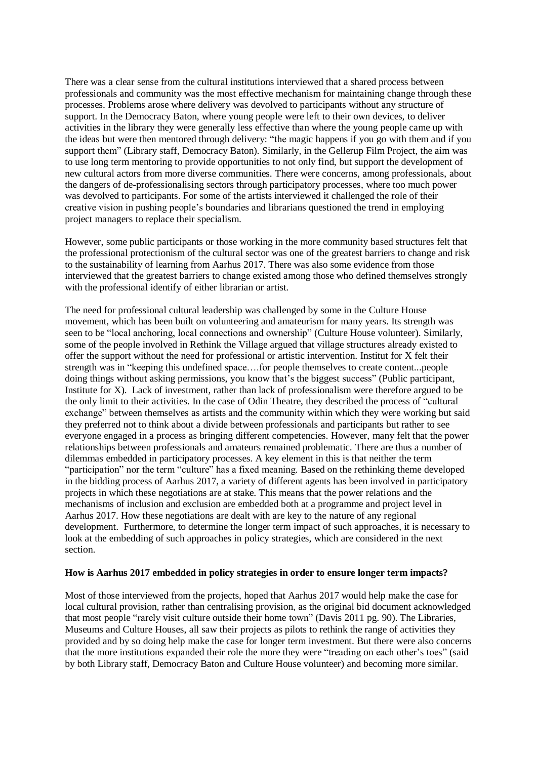There was a clear sense from the cultural institutions interviewed that a shared process between professionals and community was the most effective mechanism for maintaining change through these processes. Problems arose where delivery was devolved to participants without any structure of support. In the Democracy Baton, where young people were left to their own devices, to deliver activities in the library they were generally less effective than where the young people came up with the ideas but were then mentored through delivery: "the magic happens if you go with them and if you support them" (Library staff, Democracy Baton). Similarly, in the Gellerup Film Project, the aim was to use long term mentoring to provide opportunities to not only find, but support the development of new cultural actors from more diverse communities. There were concerns, among professionals, about the dangers of de-professionalising sectors through participatory processes, where too much power was devolved to participants. For some of the artists interviewed it challenged the role of their creative vision in pushing people's boundaries and librarians questioned the trend in employing project managers to replace their specialism.

However, some public participants or those working in the more community based structures felt that the professional protectionism of the cultural sector was one of the greatest barriers to change and risk to the sustainability of learning from Aarhus 2017. There was also some evidence from those interviewed that the greatest barriers to change existed among those who defined themselves strongly with the professional identify of either librarian or artist.

The need for professional cultural leadership was challenged by some in the Culture House movement, which has been built on volunteering and amateurism for many years. Its strength was seen to be "local anchoring, local connections and ownership" (Culture House volunteer). Similarly, some of the people involved in Rethink the Village argued that village structures already existed to offer the support without the need for professional or artistic intervention. Institut for X felt their strength was in "keeping this undefined space….for people themselves to create content...people doing things without asking permissions, you know that's the biggest success" (Public participant, Institute for X). Lack of investment, rather than lack of professionalism were therefore argued to be the only limit to their activities. In the case of Odin Theatre, they described the process of "cultural exchange" between themselves as artists and the community within which they were working but said they preferred not to think about a divide between professionals and participants but rather to see everyone engaged in a process as bringing different competencies. However, many felt that the power relationships between professionals and amateurs remained problematic. There are thus a number of dilemmas embedded in participatory processes. A key element in this is that neither the term "participation" nor the term "culture" has a fixed meaning. Based on the rethinking theme developed in the bidding process of Aarhus 2017, a variety of different agents has been involved in participatory projects in which these negotiations are at stake. This means that the power relations and the mechanisms of inclusion and exclusion are embedded both at a programme and project level in Aarhus 2017. How these negotiations are dealt with are key to the nature of any regional development. Furthermore, to determine the longer term impact of such approaches, it is necessary to look at the embedding of such approaches in policy strategies, which are considered in the next section.

# **How is Aarhus 2017 embedded in policy strategies in order to ensure longer term impacts?**

Most of those interviewed from the projects, hoped that Aarhus 2017 would help make the case for local cultural provision, rather than centralising provision, as the original bid document acknowledged that most people "rarely visit culture outside their home town" (Davis 2011 pg. 90). The Libraries, Museums and Culture Houses, all saw their projects as pilots to rethink the range of activities they provided and by so doing help make the case for longer term investment. But there were also concerns that the more institutions expanded their role the more they were "treading on each other's toes" (said by both Library staff, Democracy Baton and Culture House volunteer) and becoming more similar.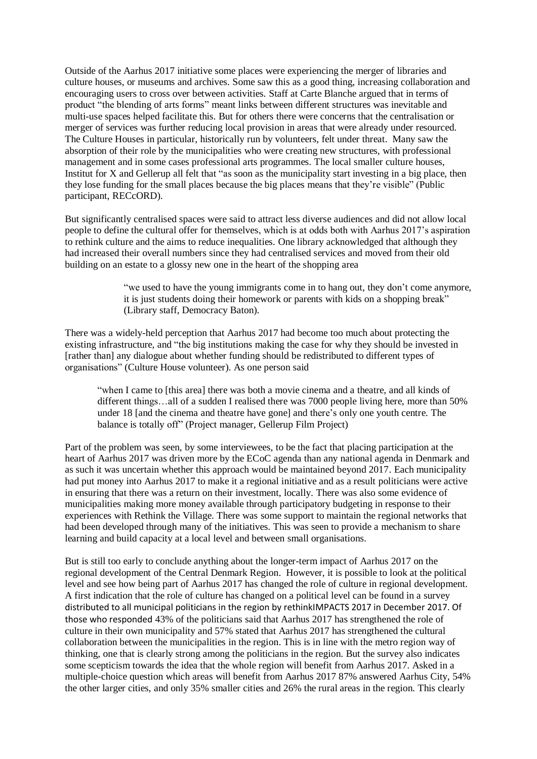Outside of the Aarhus 2017 initiative some places were experiencing the merger of libraries and culture houses, or museums and archives. Some saw this as a good thing, increasing collaboration and encouraging users to cross over between activities. Staff at Carte Blanche argued that in terms of product "the blending of arts forms" meant links between different structures was inevitable and multi-use spaces helped facilitate this. But for others there were concerns that the centralisation or merger of services was further reducing local provision in areas that were already under resourced. The Culture Houses in particular, historically run by volunteers, felt under threat. Many saw the absorption of their role by the municipalities who were creating new structures, with professional management and in some cases professional arts programmes. The local smaller culture houses, Institut for X and Gellerup all felt that "as soon as the municipality start investing in a big place, then they lose funding for the small places because the big places means that they're visible" (Public participant, RECcORD).

But significantly centralised spaces were said to attract less diverse audiences and did not allow local people to define the cultural offer for themselves, which is at odds both with Aarhus 2017's aspiration to rethink culture and the aims to reduce inequalities. One library acknowledged that although they had increased their overall numbers since they had centralised services and moved from their old building on an estate to a glossy new one in the heart of the shopping area

> "we used to have the young immigrants come in to hang out, they don't come anymore, it is just students doing their homework or parents with kids on a shopping break" (Library staff, Democracy Baton).

There was a widely-held perception that Aarhus 2017 had become too much about protecting the existing infrastructure, and "the big institutions making the case for why they should be invested in [rather than] any dialogue about whether funding should be redistributed to different types of organisations" (Culture House volunteer). As one person said

"when I came to [this area] there was both a movie cinema and a theatre, and all kinds of different things…all of a sudden I realised there was 7000 people living here, more than 50% under 18 [and the cinema and theatre have gone] and there's only one youth centre. The balance is totally off" (Project manager, Gellerup Film Project)

Part of the problem was seen, by some interviewees, to be the fact that placing participation at the heart of Aarhus 2017 was driven more by the ECoC agenda than any national agenda in Denmark and as such it was uncertain whether this approach would be maintained beyond 2017. Each municipality had put money into Aarhus 2017 to make it a regional initiative and as a result politicians were active in ensuring that there was a return on their investment, locally. There was also some evidence of municipalities making more money available through participatory budgeting in response to their experiences with Rethink the Village. There was some support to maintain the regional networks that had been developed through many of the initiatives. This was seen to provide a mechanism to share learning and build capacity at a local level and between small organisations.

But is still too early to conclude anything about the longer-term impact of Aarhus 2017 on the regional development of the Central Denmark Region. However, it is possible to look at the political level and see how being part of Aarhus 2017 has changed the role of culture in regional development. A first indication that the role of culture has changed on a political level can be found in a survey distributed to all municipal politicians in the region by rethinkIMPACTS 2017 in December 2017. Of those who responded 43% of the politicians said that Aarhus 2017 has strengthened the role of culture in their own municipality and 57% stated that Aarhus 2017 has strengthened the cultural collaboration between the municipalities in the region. This is in line with the metro region way of thinking, one that is clearly strong among the politicians in the region. But the survey also indicates some scepticism towards the idea that the whole region will benefit from Aarhus 2017. Asked in a multiple-choice question which areas will benefit from Aarhus 2017 87% answered Aarhus City, 54% the other larger cities, and only 35% smaller cities and 26% the rural areas in the region. This clearly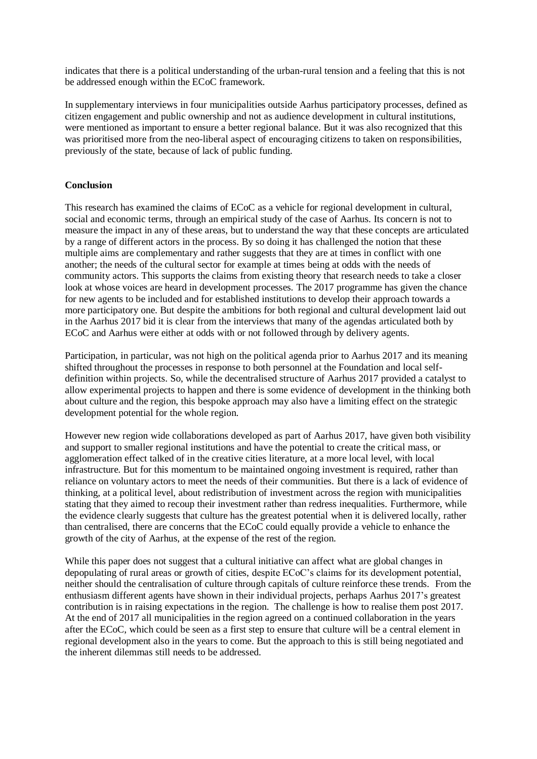indicates that there is a political understanding of the urban-rural tension and a feeling that this is not be addressed enough within the ECoC framework.

In supplementary interviews in four municipalities outside Aarhus participatory processes, defined as citizen engagement and public ownership and not as audience development in cultural institutions, were mentioned as important to ensure a better regional balance. But it was also recognized that this was prioritised more from the neo-liberal aspect of encouraging citizens to taken on responsibilities, previously of the state, because of lack of public funding.

#### **Conclusion**

This research has examined the claims of ECoC as a vehicle for regional development in cultural, social and economic terms, through an empirical study of the case of Aarhus. Its concern is not to measure the impact in any of these areas, but to understand the way that these concepts are articulated by a range of different actors in the process. By so doing it has challenged the notion that these multiple aims are complementary and rather suggests that they are at times in conflict with one another; the needs of the cultural sector for example at times being at odds with the needs of community actors. This supports the claims from existing theory that research needs to take a closer look at whose voices are heard in development processes. The 2017 programme has given the chance for new agents to be included and for established institutions to develop their approach towards a more participatory one. But despite the ambitions for both regional and cultural development laid out in the Aarhus 2017 bid it is clear from the interviews that many of the agendas articulated both by ECoC and Aarhus were either at odds with or not followed through by delivery agents.

Participation, in particular, was not high on the political agenda prior to Aarhus 2017 and its meaning shifted throughout the processes in response to both personnel at the Foundation and local selfdefinition within projects. So, while the decentralised structure of Aarhus 2017 provided a catalyst to allow experimental projects to happen and there is some evidence of development in the thinking both about culture and the region, this bespoke approach may also have a limiting effect on the strategic development potential for the whole region.

However new region wide collaborations developed as part of Aarhus 2017, have given both visibility and support to smaller regional institutions and have the potential to create the critical mass, or agglomeration effect talked of in the creative cities literature, at a more local level, with local infrastructure. But for this momentum to be maintained ongoing investment is required, rather than reliance on voluntary actors to meet the needs of their communities. But there is a lack of evidence of thinking, at a political level, about redistribution of investment across the region with municipalities stating that they aimed to recoup their investment rather than redress inequalities. Furthermore, while the evidence clearly suggests that culture has the greatest potential when it is delivered locally, rather than centralised, there are concerns that the ECoC could equally provide a vehicle to enhance the growth of the city of Aarhus, at the expense of the rest of the region.

While this paper does not suggest that a cultural initiative can affect what are global changes in depopulating of rural areas or growth of cities, despite ECoC's claims for its development potential, neither should the centralisation of culture through capitals of culture reinforce these trends. From the enthusiasm different agents have shown in their individual projects, perhaps Aarhus 2017's greatest contribution is in raising expectations in the region. The challenge is how to realise them post 2017. At the end of 2017 all municipalities in the region agreed on a continued collaboration in the years after the ECoC, which could be seen as a first step to ensure that culture will be a central element in regional development also in the years to come. But the approach to this is still being negotiated and the inherent dilemmas still needs to be addressed.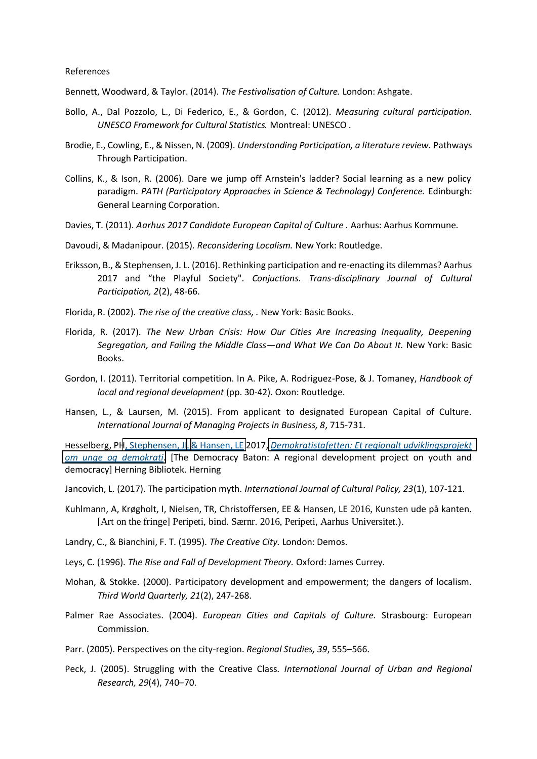#### References

Bennett, Woodward, & Taylor. (2014). *The Festivalisation of Culture.* London: Ashgate.

- Bollo, A., Dal Pozzolo, L., Di Federico, E., & Gordon, C. (2012). *Measuring cultural participation. UNESCO Framework for Cultural Statistics.* Montreal: UNESCO .
- Brodie, E., Cowling, E., & Nissen, N. (2009). *Understanding Participation, a literature review.* Pathways Through Participation.
- Collins, K., & Ison, R. (2006). Dare we jump off Arnstein's ladder? Social learning as a new policy paradigm. *PATH (Participatory Approaches in Science & Technology) Conference.* Edinburgh: General Learning Corporation.
- Davies, T. (2011). *Aarhus 2017 Candidate European Capital of Culture .* Aarhus: Aarhus Kommune.
- Davoudi, & Madanipour. (2015). *Reconsidering Localism.* New York: Routledge.
- Eriksson, B., & Stephensen, J. L. (2016). Rethinking participation and re-enacting its dilemmas? Aarhus 2017 and "the Playful Society". Conjuctions. Trans-disciplinary Journal of Cultural *Participation, 2*(2), 48-66.
- Florida, R. (2002). *The rise of the creative class, .* New York: Basic Books.
- Florida, R. (2017). *The New Urban Crisis: How Our Cities Are Increasing Inequality, Deepening Segregation, and Failing the Middle Class*—and What We Can Do About It. New York: Basic Books.
- Gordon, I. (2011). Territorial competition. In A. Pike, A. Rodriguez-Pose, & J. Tomaney, *Handbook of local and regional development* (pp. 30-42). Oxon: Routledge.
- Hansen, L., & Laursen, M. (2015). From applicant to designated European Capital of Culture. *International Journal of Managing Projects in Business, 8*, 715-731.

Hesselberg, P[H, Stephensen, JL & Hansen, LE 2](http://pure.au.dk/portal/da/persons/jan-loehmann-stephensen(7891c090-3953-4677-a313-d1274ab585ec).html)017, *[Demokratistafetten: Et regionalt udviklingsprojekt](http://pure.au.dk/portal/da/publications/demokratistafetten(b9e1b570-cf09-409b-b47b-ffeb35dad1c2).html)  [om unge og demokrati](http://pure.au.dk/portal/da/publications/demokratistafetten(b9e1b570-cf09-409b-b47b-ffeb35dad1c2).html)*. [The Democracy Baton: A regional development project on youth and democracy] Herning Bibliotek. Herning

Jancovich, L. (2017). The participation myth. *International Journal of Cultural Policy, 23*(1), 107-121.

- Kuhlmann, A, Krøgholt, I, Nielsen, TR, Christoffersen, EE & Hansen, LE 2016, Kunsten ude på kanten. [Art on the fringe] Peripeti, bind. Særnr. 2016, Peripeti, Aarhus Universitet.).
- Landry, C., & Bianchini, F. T. (1995). *The Creative City.* London: Demos.
- Leys, C. (1996). *The Rise and Fall of Development Theory.* Oxford: James Currey.
- Mohan, & Stokke. (2000). Participatory development and empowerment; the dangers of localism. *Third World Quarterly, 21*(2), 247-268.
- Palmer Rae Associates. (2004). *European Cities and Capitals of Culture.* Strasbourg: European Commission.
- Parr. (2005). Perspectives on the city-region. *Regional Studies, 39*, 555-566.
- Peck, J. (2005). Struggling with the Creative Class. *International Journal of Urban and Regional Research, 29*(4), 740-70.